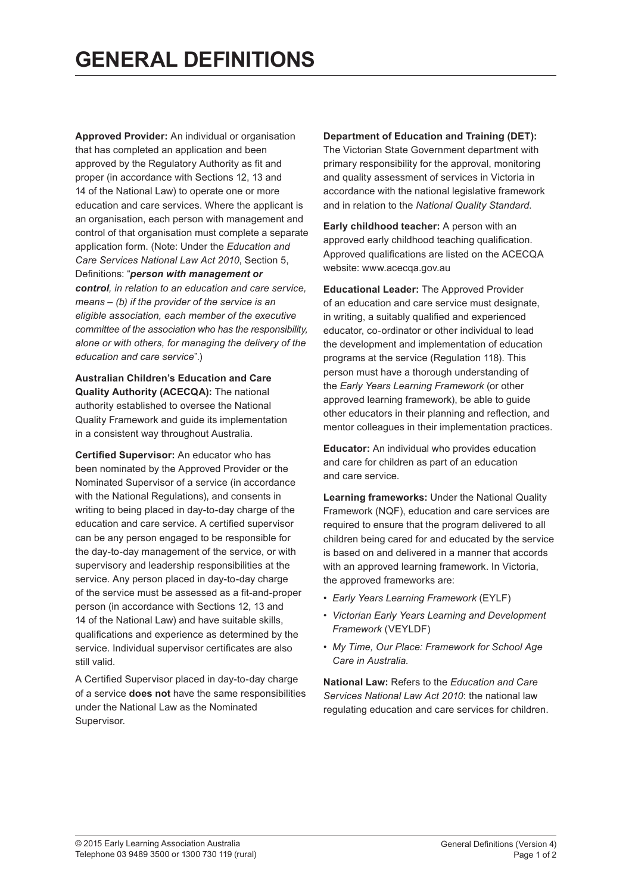**Approved Provider:** An individual or organisation that has completed an application and been approved by the Regulatory Authority as fit and proper (in accordance with Sections 12, 13 and 14 of the National Law) to operate one or more education and care services. Where the applicant is an organisation, each person with management and control of that organisation must complete a separate application form. (Note: Under the *Education and Care Services National Law Act 2010*, Section 5, Definitions: "*person with management or control, in relation to an education and care service, means – (b) if the provider of the service is an eligible association, each member of the executive committee of the association who has the responsibility, alone or with others, for managing the delivery of the education and care service*".)

**Australian Children's Education and Care Quality Authority (ACECQA):** The national authority established to oversee the National Quality Framework and guide its implementation in a consistent way throughout Australia.

**Certified Supervisor:** An educator who has been nominated by the Approved Provider or the Nominated Supervisor of a service (in accordance with the National Regulations), and consents in writing to being placed in day-to-day charge of the education and care service. A certified supervisor can be any person engaged to be responsible for the day-to-day management of the service, or with supervisory and leadership responsibilities at the service. Any person placed in day-to-day charge of the service must be assessed as a fit-and-proper person (in accordance with Sections 12, 13 and 14 of the National Law) and have suitable skills, qualifications and experience as determined by the service. Individual supervisor certificates are also still valid.

A Certified Supervisor placed in day-to-day charge of a service **does not** have the same responsibilities under the National Law as the Nominated Supervisor.

**Department of Education and Training (DET):**

The Victorian State Government department with primary responsibility for the approval, monitoring and quality assessment of services in Victoria in accordance with the national legislative framework and in relation to the *National Quality Standard*.

**Early childhood teacher:** A person with an approved early childhood teaching qualification. Approved qualifications are listed on the ACECQA website: www.acecqa.gov.au

**Educational Leader:** The Approved Provider of an education and care service must designate, in writing, a suitably qualified and experienced educator, co-ordinator or other individual to lead the development and implementation of education programs at the service (Regulation 118). This person must have a thorough understanding of the *Early Years Learning Framework* (or other approved learning framework), be able to guide other educators in their planning and reflection, and mentor colleagues in their implementation practices.

**Educator:** An individual who provides education and care for children as part of an education and care service.

**Learning frameworks:** Under the National Quality Framework (NQF), education and care services are required to ensure that the program delivered to all children being cared for and educated by the service is based on and delivered in a manner that accords with an approved learning framework. In Victoria, the approved frameworks are:

- *Early Years Learning Framework* (EYLF)
- *Victorian Early Years Learning and Development Framework* (VEYLDF)
- *My Time, Our Place: Framework for School Age Care in Australia*.

**National Law:** Refers to the *Education and Care Services National Law Act 2010*: the national law regulating education and care services for children.